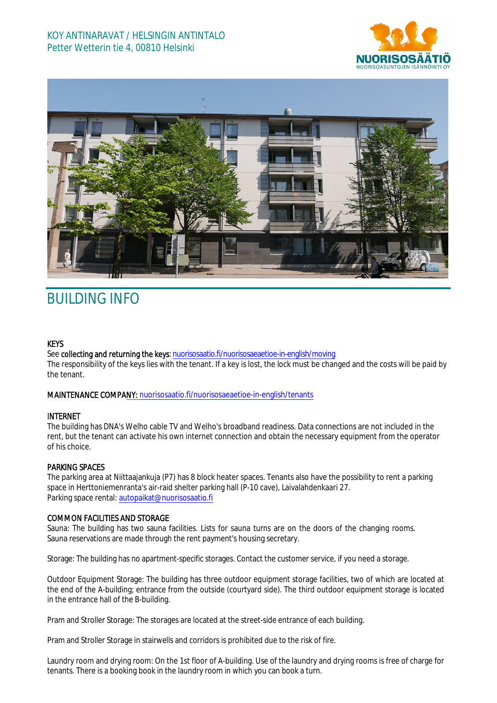



# BUILDING INFO

#### **KEYS**

See collecting and returning the keys: n[uorisosaatio.fi/nuorisosaeaetioe](http://www.nuorisosaatio.fi/muuttajalle)-in-english/moving The responsibility of the keys lies with the tenant. If a key is lost, the lock must be changed and the costs will be paid by the tenant.

MAINTENANCE COMPANY: [nuorisosaatio.fi/nuoriso](http://www.nuorisosaatio.fi/asukkaalle)saeaetioe-in-english/tenants

## INTERNET

The building has DNA's Welho cable TV and Welho's broadband readiness. Data connections are not included in the rent, but the tenant can activate his own internet connection and obtain the necessary equipment from the operator of his choice.

#### PARKING SPACES

The parking area at Niittaajankuja (P7) has 8 block heater spaces. Tenants also have the possibility to rent a parking space in Herttoniemenranta's air-raid shelter parking hall (P-10 cave), Laivalahdenkaari 27. Parking space rental: autopaikat@nuorisosaatio.fi

## COMMON FACILITIES AND STORAGE

Sauna: The building has two sauna facilities. Lists for sauna turns are on the doors of the changing rooms. Sauna reservations are made through the rent payment's housing secretary.

Storage: The building has no apartment-specific storages. Contact the customer service, if you need a storage.

Outdoor Equipment Storage: The building has three outdoor equipment storage facilities, two of which are located at the end of the A-building; entrance from the outside (courtyard side). The third outdoor equipment storage is located in the entrance hall of the B-building.

Pram and Stroller Storage: The storages are located at the street-side entrance of each building.

Pram and Stroller Storage in stairwells and corridors is prohibited due to the risk of fire.

Laundry room and drying room: On the 1st floor of A-building. Use of the laundry and drying rooms is free of charge for tenants. There is a booking book in the laundry room in which you can book a turn.